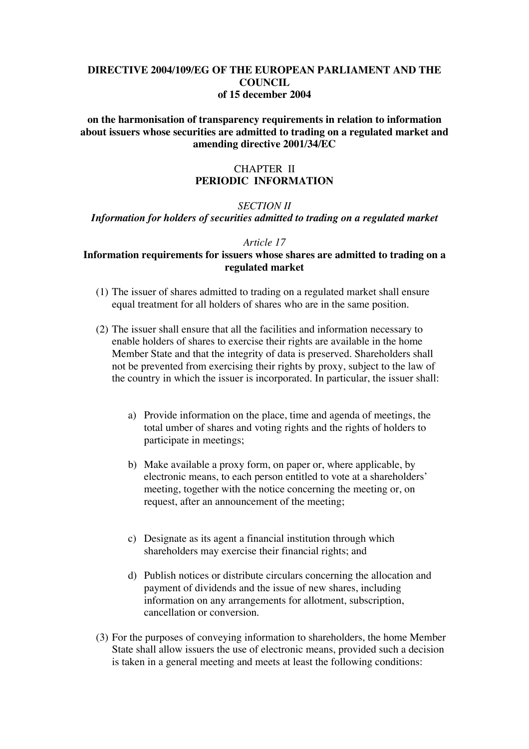## **DIRECTIVE 2004/109/EG OF THE EUROPEAN PARLIAMENT AND THE COUNCIL of 15 december 2004**

**on the harmonisation of transparency requirements in relation to information about issuers whose securities are admitted to trading on a regulated market and amending directive 2001/34/EC**

## CHAPTER II **PERIODIC INFORMATION**

## *SECTION II Information for holders of securities admitted to trading on a regulated market*

#### *Article 17*

### **Information requirements for issuers whose shares are admitted to trading on a regulated market**

- (1) The issuer of shares admitted to trading on a regulated market shall ensure equal treatment for all holders of shares who are in the same position.
- (2) The issuer shall ensure that all the facilities and information necessary to enable holders of shares to exercise their rights are available in the home Member State and that the integrity of data is preserved. Shareholders shall not be prevented from exercising their rights by proxy, subject to the law of the country in which the issuer is incorporated. In particular, the issuer shall:
	- a) Provide information on the place, time and agenda of meetings, the total umber of shares and voting rights and the rights of holders to participate in meetings;
	- b) Make available a proxy form, on paper or, where applicable, by electronic means, to each person entitled to vote at a shareholders' meeting, together with the notice concerning the meeting or, on request, after an announcement of the meeting;
	- c) Designate as its agent a financial institution through which shareholders may exercise their financial rights; and
	- d) Publish notices or distribute circulars concerning the allocation and payment of dividends and the issue of new shares, including information on any arrangements for allotment, subscription, cancellation or conversion.
- (3) For the purposes of conveying information to shareholders, the home Member State shall allow issuers the use of electronic means, provided such a decision is taken in a general meeting and meets at least the following conditions: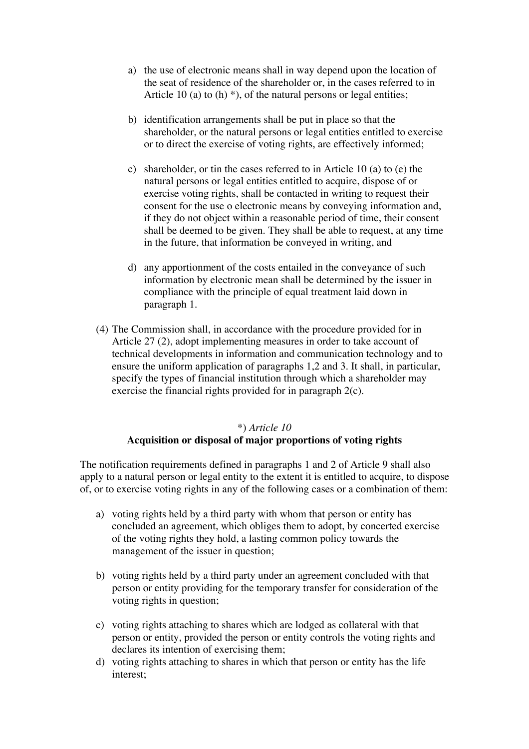- a) the use of electronic means shall in way depend upon the location of the seat of residence of the shareholder or, in the cases referred to in Article 10 (a) to  $(h)$ <sup>\*</sup>), of the natural persons or legal entities;
- b) identification arrangements shall be put in place so that the shareholder, or the natural persons or legal entities entitled to exercise or to direct the exercise of voting rights, are effectively informed;
- c) shareholder, or tin the cases referred to in Article 10 (a) to (e) the natural persons or legal entities entitled to acquire, dispose of or exercise voting rights, shall be contacted in writing to request their consent for the use o electronic means by conveying information and, if they do not object within a reasonable period of time, their consent shall be deemed to be given. They shall be able to request, at any time in the future, that information be conveyed in writing, and
- d) any apportionment of the costs entailed in the conveyance of such information by electronic mean shall be determined by the issuer in compliance with the principle of equal treatment laid down in paragraph 1.
- (4) The Commission shall, in accordance with the procedure provided for in Article 27 (2), adopt implementing measures in order to take account of technical developments in information and communication technology and to ensure the uniform application of paragraphs 1,2 and 3. It shall, in particular, specify the types of financial institution through which a shareholder may exercise the financial rights provided for in paragraph 2(c).

# \*) *Article 10* **Acquisition or disposal of major proportions of voting rights**

The notification requirements defined in paragraphs 1 and 2 of Article 9 shall also apply to a natural person or legal entity to the extent it is entitled to acquire, to dispose of, or to exercise voting rights in any of the following cases or a combination of them:

- a) voting rights held by a third party with whom that person or entity has concluded an agreement, which obliges them to adopt, by concerted exercise of the voting rights they hold, a lasting common policy towards the management of the issuer in question;
- b) voting rights held by a third party under an agreement concluded with that person or entity providing for the temporary transfer for consideration of the voting rights in question;
- c) voting rights attaching to shares which are lodged as collateral with that person or entity, provided the person or entity controls the voting rights and declares its intention of exercising them;
- d) voting rights attaching to shares in which that person or entity has the life interest;